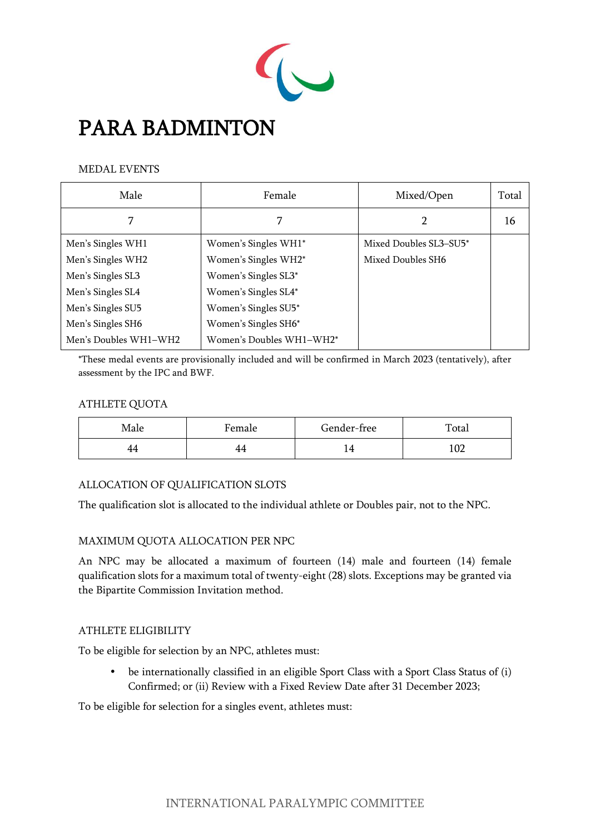

# PARA BADMINTON

#### MEDAL EVENTS

| Male                  | Female                   | Mixed/Open             | Total |
|-----------------------|--------------------------|------------------------|-------|
|                       |                          | 2                      | 16    |
| Men's Singles WH1     | Women's Singles WH1*     | Mixed Doubles SL3-SU5* |       |
| Men's Singles WH2     | Women's Singles WH2*     | Mixed Doubles SH6      |       |
| Men's Singles SL3     | Women's Singles SL3*     |                        |       |
| Men's Singles SL4     | Women's Singles SL4*     |                        |       |
| Men's Singles SU5     | Women's Singles SU5*     |                        |       |
| Men's Singles SH6     | Women's Singles SH6*     |                        |       |
| Men's Doubles WH1-WH2 | Women's Doubles WH1-WH2* |                        |       |

\*These medal events are provisionally included and will be confirmed in March 2023 (tentatively), after assessment by the IPC and BWF.

## ATHLETE QUOTA

| Male | Female | Gender-free | Total           |
|------|--------|-------------|-----------------|
| . .  | 44     | . .         | $\Omega$<br>⊥∪∠ |

# ALLOCATION OF QUALIFICATION SLOTS

The qualification slot is allocated to the individual athlete or Doubles pair, not to the NPC.

# MAXIMUM QUOTA ALLOCATION PER NPC

An NPC may be allocated a maximum of fourteen (14) male and fourteen (14) female qualification slots for a maximum total of twenty-eight (28) slots. Exceptions may be granted via the Bipartite Commission Invitation method.

#### ATHLETE ELIGIBILITY

To be eligible for selection by an NPC, athletes must:

 be internationally classified in an eligible Sport Class with a Sport Class Status of (i) Confirmed; or (ii) Review with a Fixed Review Date after 31 December 2023;

To be eligible for selection for a singles event, athletes must: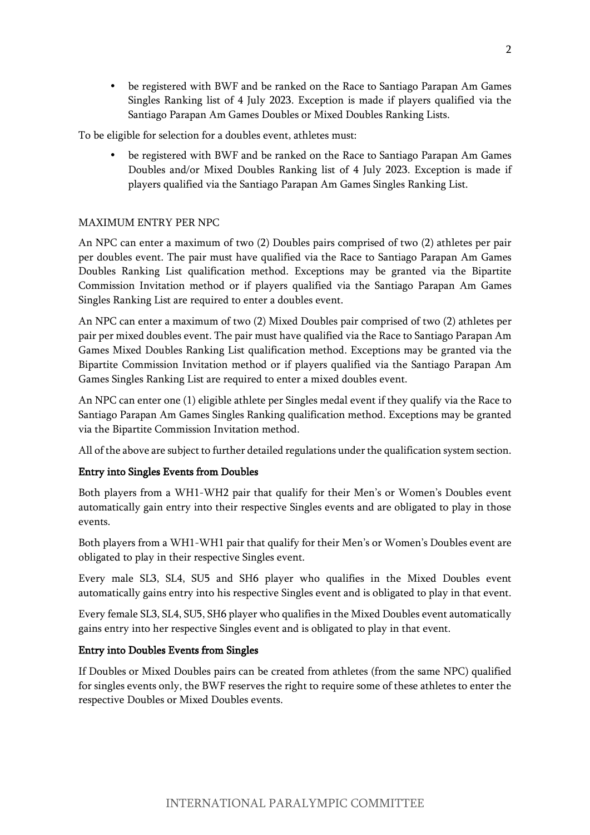be registered with BWF and be ranked on the Race to Santiago Parapan Am Games Singles Ranking list of 4 July 2023. Exception is made if players qualified via the Santiago Parapan Am Games Doubles or Mixed Doubles Ranking Lists.

To be eligible for selection for a doubles event, athletes must:

 be registered with BWF and be ranked on the Race to Santiago Parapan Am Games Doubles and/or Mixed Doubles Ranking list of 4 July 2023. Exception is made if players qualified via the Santiago Parapan Am Games Singles Ranking List.

#### MAXIMUM ENTRY PER NPC

An NPC can enter a maximum of two (2) Doubles pairs comprised of two (2) athletes per pair per doubles event. The pair must have qualified via the Race to Santiago Parapan Am Games Doubles Ranking List qualification method. Exceptions may be granted via the Bipartite Commission Invitation method or if players qualified via the Santiago Parapan Am Games Singles Ranking List are required to enter a doubles event.

An NPC can enter a maximum of two (2) Mixed Doubles pair comprised of two (2) athletes per pair per mixed doubles event. The pair must have qualified via the Race to Santiago Parapan Am Games Mixed Doubles Ranking List qualification method. Exceptions may be granted via the Bipartite Commission Invitation method or if players qualified via the Santiago Parapan Am Games Singles Ranking List are required to enter a mixed doubles event.

An NPC can enter one (1) eligible athlete per Singles medal event if they qualify via the Race to Santiago Parapan Am Games Singles Ranking qualification method. Exceptions may be granted via the Bipartite Commission Invitation method.

All of the above are subject to further detailed regulations under the qualification system section.

#### Entry into Singles Events from Doubles

Both players from a WH1-WH2 pair that qualify for their Men's or Women's Doubles event automatically gain entry into their respective Singles events and are obligated to play in those events.

Both players from a WH1-WH1 pair that qualify for their Men's or Women's Doubles event are obligated to play in their respective Singles event.

Every male SL3, SL4, SU5 and SH6 player who qualifies in the Mixed Doubles event automatically gains entry into his respective Singles event and is obligated to play in that event.

Every female SL3, SL4, SU5, SH6 player who qualifies in the Mixed Doubles event automatically gains entry into her respective Singles event and is obligated to play in that event.

#### Entry into Doubles Events from Singles

If Doubles or Mixed Doubles pairs can be created from athletes (from the same NPC) qualified for singles events only, the BWF reserves the right to require some of these athletes to enter the respective Doubles or Mixed Doubles events.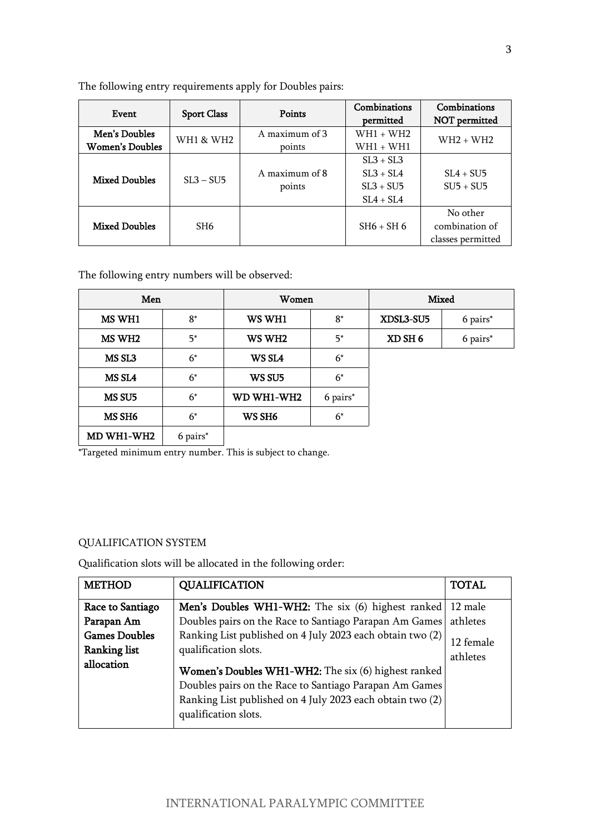| Event                  |                    | Points         | Combinations  | Combinations      |
|------------------------|--------------------|----------------|---------------|-------------------|
|                        | <b>Sport Class</b> |                | permitted     | NOT permitted     |
| Men's Doubles          | WH1 & WH2          | A maximum of 3 | $WH1 + WH2$   | $WH2 + WH2$       |
| <b>Women's Doubles</b> |                    | points         | $WH1 + WH1$   |                   |
|                        |                    |                | $SL3 + SL3$   |                   |
| <b>Mixed Doubles</b>   | $SL3 - SU5$        | A maximum of 8 | $SI.3 + SI.4$ | $SL4 + SU5$       |
|                        |                    | points         | $SL3 + SU5$   | $SIJ5 + SIJ5$     |
|                        |                    |                | $SL4 + SL4$   |                   |
|                        |                    |                |               | No other          |
| <b>Mixed Doubles</b>   | SH <sub>6</sub>    |                | $SH6 + SH6$   | combination of    |
|                        |                    |                |               | classes permitted |

The following entry requirements apply for Doubles pairs:

The following entry numbers will be observed:

| Men                |          | Women              |          | <b>Mixed</b> |          |
|--------------------|----------|--------------------|----------|--------------|----------|
| MS WH1             | $8^*$    | WS WH1             | $8^*$    | XDSL3-SU5    | 6 pairs* |
| MS WH <sub>2</sub> | $5^*$    | WS WH <sub>2</sub> | $5^*$    | XD SH 6      | 6 pairs* |
| MS <sub>SL3</sub>  | $6^*$    | WS SL4             | $6^*$    |              |          |
| MS SL4             | $6^*$    | WS SU5             | $6^*$    |              |          |
| MS SU5             | $6^*$    | WD WH1-WH2         | 6 pairs* |              |          |
| MS SH6             | $6^*$    | WS SH <sub>6</sub> | $6^*$    |              |          |
| MD WH1-WH2         | 6 pairs* |                    |          |              |          |

\*Targeted minimum entry number. This is subject to change.

#### QUALIFICATION SYSTEM

Qualification slots will be allocated in the following order:

| <b>METHOD</b>                                             | <b>QUALIFICATION</b>                                                                                                                                                                               | <b>TOTAL</b>          |
|-----------------------------------------------------------|----------------------------------------------------------------------------------------------------------------------------------------------------------------------------------------------------|-----------------------|
| Race to Santiago                                          | Men's Doubles WH1-WH2: The six (6) highest ranked                                                                                                                                                  | 12 male               |
| Parapan Am                                                | Doubles pairs on the Race to Santiago Parapan Am Games                                                                                                                                             | athletes              |
| <b>Games Doubles</b><br><b>Ranking list</b><br>allocation | Ranking List published on 4 July 2023 each obtain two (2)<br>qualification slots.                                                                                                                  | 12 female<br>athletes |
|                                                           | Women's Doubles WH1-WH2: The six (6) highest ranked<br>Doubles pairs on the Race to Santiago Parapan Am Games<br>Ranking List published on 4 July 2023 each obtain two (2)<br>qualification slots. |                       |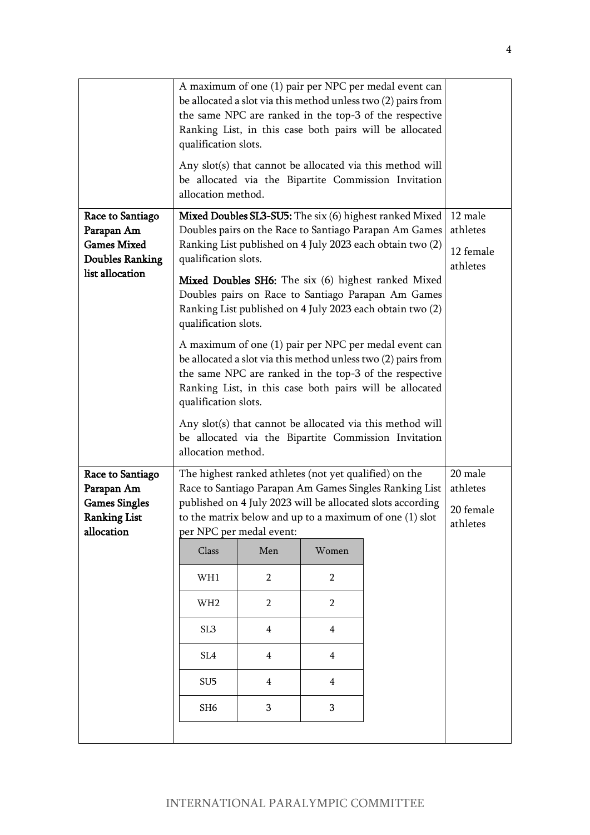|                                                                                                   | qualification slots.<br>allocation method.                                                                                                                                                                                                                                                                                                                                                                      |                |                | A maximum of one (1) pair per NPC per medal event can<br>be allocated a slot via this method unless two (2) pairs from<br>the same NPC are ranked in the top-3 of the respective<br>Ranking List, in this case both pairs will be allocated<br>Any slot(s) that cannot be allocated via this method will<br>be allocated via the Bipartite Commission Invitation |  |
|---------------------------------------------------------------------------------------------------|-----------------------------------------------------------------------------------------------------------------------------------------------------------------------------------------------------------------------------------------------------------------------------------------------------------------------------------------------------------------------------------------------------------------|----------------|----------------|------------------------------------------------------------------------------------------------------------------------------------------------------------------------------------------------------------------------------------------------------------------------------------------------------------------------------------------------------------------|--|
| Race to Santiago<br>Parapan Am<br><b>Games Mixed</b><br><b>Doubles Ranking</b><br>list allocation | <b>Mixed Doubles SL3-SU5:</b> The six (6) highest ranked Mixed<br>Doubles pairs on the Race to Santiago Parapan Am Games<br>Ranking List published on 4 July 2023 each obtain two (2)<br>qualification slots.<br>Mixed Doubles SH6: The six (6) highest ranked Mixed<br>Doubles pairs on Race to Santiago Parapan Am Games<br>Ranking List published on 4 July 2023 each obtain two (2)<br>qualification slots. |                |                | 12 male<br>athletes<br>12 female<br>athletes                                                                                                                                                                                                                                                                                                                     |  |
|                                                                                                   | qualification slots.<br>allocation method.                                                                                                                                                                                                                                                                                                                                                                      |                |                | A maximum of one (1) pair per NPC per medal event can<br>be allocated a slot via this method unless two (2) pairs from<br>the same NPC are ranked in the top-3 of the respective<br>Ranking List, in this case both pairs will be allocated<br>Any slot(s) that cannot be allocated via this method will<br>be allocated via the Bipartite Commission Invitation |  |
| Race to Santiago<br>Parapan Am<br><b>Games Singles</b><br><b>Ranking List</b><br>allocation       | 20 male<br>The highest ranked athletes (not yet qualified) on the<br>Race to Santiago Parapan Am Games Singles Ranking List<br>athletes<br>published on 4 July 2023 will be allocated slots according<br>20 female<br>to the matrix below and up to a maximum of one (1) slot<br>athletes<br>per NPC per medal event:                                                                                           |                |                |                                                                                                                                                                                                                                                                                                                                                                  |  |
|                                                                                                   | Class                                                                                                                                                                                                                                                                                                                                                                                                           | Men            | Women          |                                                                                                                                                                                                                                                                                                                                                                  |  |
|                                                                                                   | WH1                                                                                                                                                                                                                                                                                                                                                                                                             | $\overline{2}$ | $\overline{2}$ |                                                                                                                                                                                                                                                                                                                                                                  |  |
|                                                                                                   | WH <sub>2</sub>                                                                                                                                                                                                                                                                                                                                                                                                 | $\overline{2}$ | $\overline{2}$ |                                                                                                                                                                                                                                                                                                                                                                  |  |
|                                                                                                   | SL <sub>3</sub>                                                                                                                                                                                                                                                                                                                                                                                                 | $\overline{4}$ | $\overline{4}$ |                                                                                                                                                                                                                                                                                                                                                                  |  |
|                                                                                                   | SL <sub>4</sub>                                                                                                                                                                                                                                                                                                                                                                                                 | $\overline{4}$ | $\overline{4}$ |                                                                                                                                                                                                                                                                                                                                                                  |  |
|                                                                                                   | SU <sub>5</sub>                                                                                                                                                                                                                                                                                                                                                                                                 | $\overline{4}$ | $\overline{4}$ |                                                                                                                                                                                                                                                                                                                                                                  |  |
|                                                                                                   | SH <sub>6</sub>                                                                                                                                                                                                                                                                                                                                                                                                 | 3              | 3              |                                                                                                                                                                                                                                                                                                                                                                  |  |
|                                                                                                   |                                                                                                                                                                                                                                                                                                                                                                                                                 |                |                |                                                                                                                                                                                                                                                                                                                                                                  |  |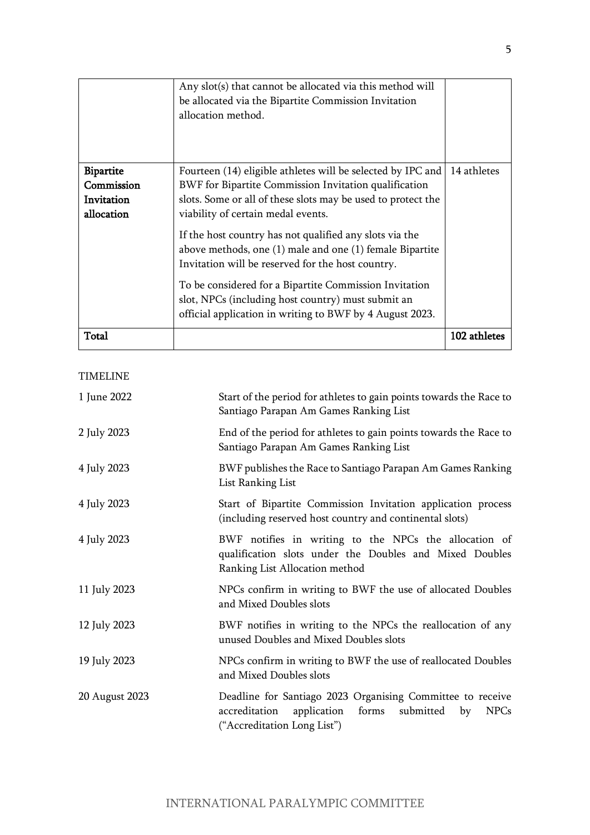|                                | Any slot(s) that cannot be allocated via this method will<br>be allocated via the Bipartite Commission Invitation<br>allocation method.                                  |              |
|--------------------------------|--------------------------------------------------------------------------------------------------------------------------------------------------------------------------|--------------|
| <b>Bipartite</b><br>Commission | Fourteen (14) eligible athletes will be selected by IPC and<br>BWF for Bipartite Commission Invitation qualification                                                     | 14 athletes  |
| Invitation<br>allocation       | slots. Some or all of these slots may be used to protect the<br>viability of certain medal events.                                                                       |              |
|                                | If the host country has not qualified any slots via the<br>above methods, one (1) male and one (1) female Bipartite<br>Invitation will be reserved for the host country. |              |
|                                | To be considered for a Bipartite Commission Invitation<br>slot, NPCs (including host country) must submit an<br>official application in writing to BWF by 4 August 2023. |              |
| Total                          |                                                                                                                                                                          | 102 athletes |

# TIMELINE

| 1 June 2022    | Start of the period for athletes to gain points towards the Race to<br>Santiago Parapan Am Games Ranking List                                                     |
|----------------|-------------------------------------------------------------------------------------------------------------------------------------------------------------------|
| 2 July 2023    | End of the period for athletes to gain points towards the Race to<br>Santiago Parapan Am Games Ranking List                                                       |
| 4 July 2023    | BWF publishes the Race to Santiago Parapan Am Games Ranking<br>List Ranking List                                                                                  |
| 4 July 2023    | Start of Bipartite Commission Invitation application process<br>(including reserved host country and continental slots)                                           |
| 4 July 2023    | BWF notifies in writing to the NPCs the allocation of<br>qualification slots under the Doubles and Mixed Doubles<br>Ranking List Allocation method                |
| 11 July 2023   | NPCs confirm in writing to BWF the use of allocated Doubles<br>and Mixed Doubles slots                                                                            |
| 12 July 2023   | BWF notifies in writing to the NPCs the reallocation of any<br>unused Doubles and Mixed Doubles slots                                                             |
| 19 July 2023   | NPCs confirm in writing to BWF the use of reallocated Doubles<br>and Mixed Doubles slots                                                                          |
| 20 August 2023 | Deadline for Santiago 2023 Organising Committee to receive<br>application<br>forms submitted<br>accreditation<br><b>NPCs</b><br>by<br>("Accreditation Long List") |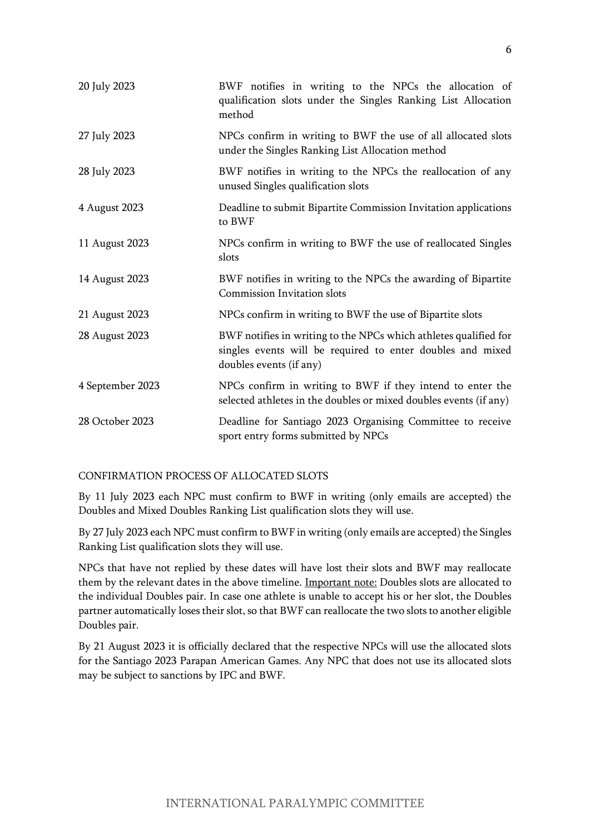| 20 July 2023     | BWF notifies in writing to the NPCs the allocation of<br>qualification slots under the Singles Ranking List Allocation<br>method                          |
|------------------|-----------------------------------------------------------------------------------------------------------------------------------------------------------|
| 27 July 2023     | NPCs confirm in writing to BWF the use of all allocated slots<br>under the Singles Ranking List Allocation method                                         |
| 28 July 2023     | BWF notifies in writing to the NPCs the reallocation of any<br>unused Singles qualification slots                                                         |
| 4 August 2023    | Deadline to submit Bipartite Commission Invitation applications<br>to BWF                                                                                 |
| 11 August 2023   | NPCs confirm in writing to BWF the use of reallocated Singles<br>slots                                                                                    |
| 14 August 2023   | BWF notifies in writing to the NPCs the awarding of Bipartite<br>Commission Invitation slots                                                              |
| 21 August 2023   | NPCs confirm in writing to BWF the use of Bipartite slots                                                                                                 |
| 28 August 2023   | BWF notifies in writing to the NPCs which athletes qualified for<br>singles events will be required to enter doubles and mixed<br>doubles events (if any) |
| 4 September 2023 | NPCs confirm in writing to BWF if they intend to enter the<br>selected athletes in the doubles or mixed doubles events (if any)                           |
| 28 October 2023  | Deadline for Santiago 2023 Organising Committee to receive<br>sport entry forms submitted by NPCs                                                         |

#### CONFIRMATION PROCESS OF ALLOCATED SLOTS

By 11 July 2023 each NPC must confirm to BWF in writing (only emails are accepted) the Doubles and Mixed Doubles Ranking List qualification slots they will use.

By 27 July 2023 each NPC must confirm to BWF in writing (only emails are accepted) the Singles Ranking List qualification slots they will use.

NPCs that have not replied by these dates will have lost their slots and BWF may reallocate them by the relevant dates in the above timeline. Important note: Doubles slots are allocated to the individual Doubles pair. In case one athlete is unable to accept his or her slot, the Doubles partner automatically loses their slot, so that BWF can reallocate the two slots to another eligible Doubles pair.

By 21 August 2023 it is officially declared that the respective NPCs will use the allocated slots for the Santiago 2023 Parapan American Games. Any NPC that does not use its allocated slots may be subject to sanctions by IPC and BWF.